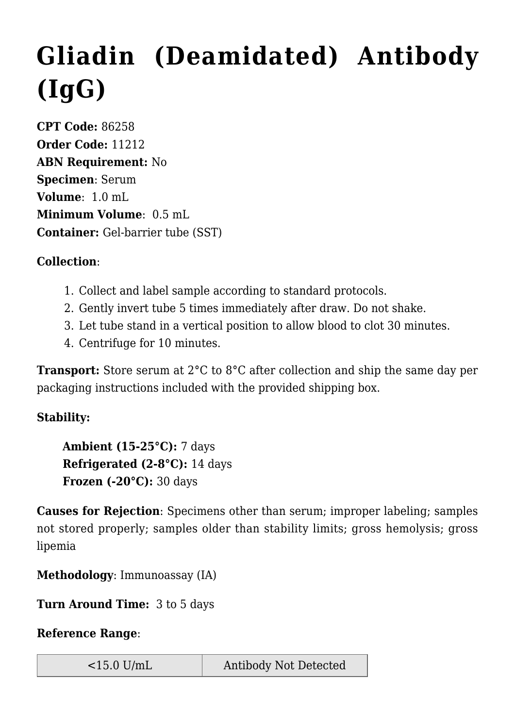## **[Gliadin \(Deamidated\) Antibody](https://www.clevelandheartlab.com/tests/gliadin-deamidated-antibody-igg/) [\(IgG\)](https://www.clevelandheartlab.com/tests/gliadin-deamidated-antibody-igg/)**

**CPT Code:** 86258 **Order Code:** 11212 **ABN Requirement:** No **Specimen**: Serum **Volume**: 1.0 mL **Minimum Volume**: 0.5 mL **Container:** Gel-barrier tube (SST)

## **Collection**:

- 1. Collect and label sample according to standard protocols.
- 2. Gently invert tube 5 times immediately after draw. Do not shake.
- 3. Let tube stand in a vertical position to allow blood to clot 30 minutes.
- 4. Centrifuge for 10 minutes.

**Transport:** Store serum at 2°C to 8°C after collection and ship the same day per packaging instructions included with the provided shipping box.

## **Stability:**

**Ambient (15-25°C):** 7 days **Refrigerated (2-8°C):** 14 days **Frozen (-20°C):** 30 days

**Causes for Rejection**: Specimens other than serum; improper labeling; samples not stored properly; samples older than stability limits; gross hemolysis; gross lipemia

**Methodology**: Immunoassay (IA)

**Turn Around Time:** 3 to 5 days

## **Reference Range**: